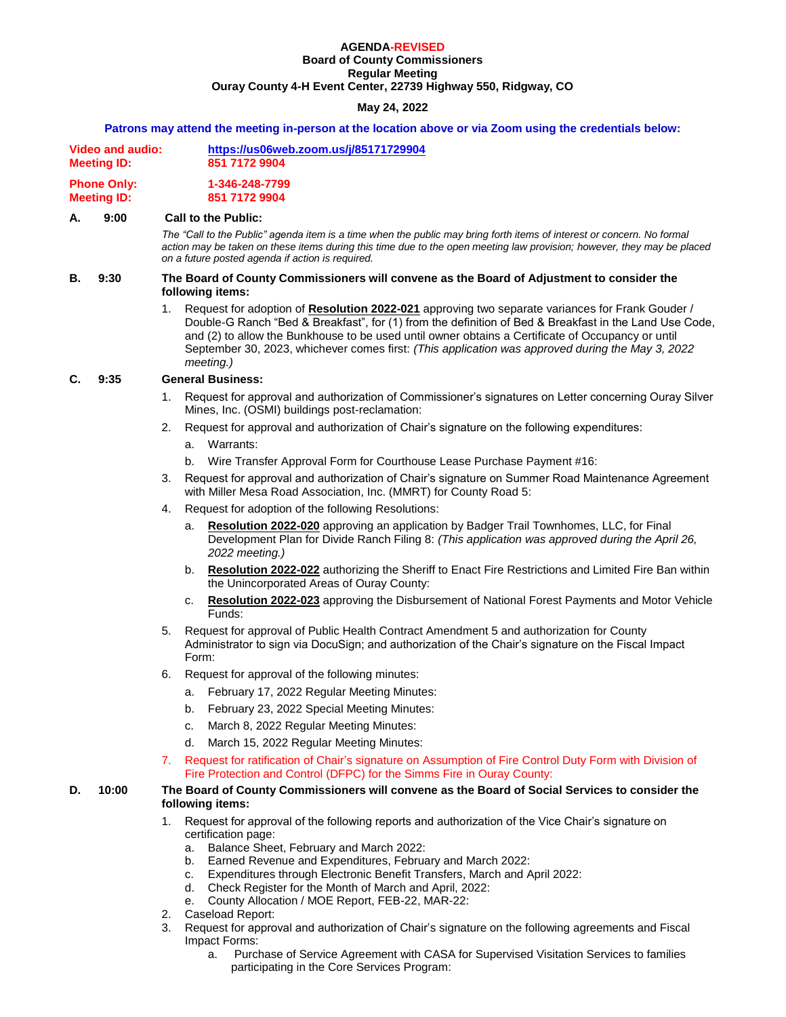#### **AGENDA-REVISED Board of County Commissioners Regular Meeting**

**Ouray County 4-H Event Center, 22739 Highway 550, Ridgway, CO**

# **May 24, 2022**

#### **Patrons may attend the meeting in-person at the location above or via Zoom using the credentials below:**

| Video and audio:   | https://us06web.zoom.us/j/85171729904 |  |
|--------------------|---------------------------------------|--|
| <b>Meeting ID:</b> | 851 7172 9904                         |  |
| <b>Phone Only:</b> | 1-346-248-7799                        |  |
| <b>Meeting ID:</b> | 851 7172 9904                         |  |

#### **A. 9:00 Call to the Public:**

*The "Call to the Public" agenda item is a time when the public may bring forth items of interest or concern. No formal action may be taken on these items during this time due to the open meeting law provision; however, they may be placed on a future posted agenda if action is required.*

#### **B. 9:30 The Board of County Commissioners will convene as the Board of Adjustment to consider the following items:**

1. Request for adoption of **Resolution 2022-021** approving two separate variances for Frank Gouder / Double-G Ranch "Bed & Breakfast", for (1) from the definition of Bed & Breakfast in the Land Use Code, and (2) to allow the Bunkhouse to be used until owner obtains a Certificate of Occupancy or until September 30, 2023, whichever comes first: *(This application was approved during the May 3, 2022 meeting.)* 

# **C. 9:35 General Business:**

- 1. Request for approval and authorization of Commissioner's signatures on Letter concerning Ouray Silver Mines, Inc. (OSMI) buildings post-reclamation:
- 2. Request for approval and authorization of Chair's signature on the following expenditures:
	- a. Warrants:
	- b. Wire Transfer Approval Form for Courthouse Lease Purchase Payment #16:
- 3. Request for approval and authorization of Chair's signature on Summer Road Maintenance Agreement with Miller Mesa Road Association, Inc. (MMRT) for County Road 5:
- 4. Request for adoption of the following Resolutions:
	- a. **Resolution 2022-020** approving an application by Badger Trail Townhomes, LLC, for Final Development Plan for Divide Ranch Filing 8: *(This application was approved during the April 26, 2022 meeting.)*
	- b. **Resolution 2022-022** authorizing the Sheriff to Enact Fire Restrictions and Limited Fire Ban within the Unincorporated Areas of Ouray County:
	- c. **Resolution 2022-023** approving the Disbursement of National Forest Payments and Motor Vehicle Funds:
- 5. Request for approval of Public Health Contract Amendment 5 and authorization for County Administrator to sign via DocuSign; and authorization of the Chair's signature on the Fiscal Impact Form:
- 6. Request for approval of the following minutes:
	- a. February 17, 2022 Regular Meeting Minutes:
	- b. February 23, 2022 Special Meeting Minutes:
	- c. March 8, 2022 Regular Meeting Minutes:
	- d. March 15, 2022 Regular Meeting Minutes:
- 7. Request for ratification of Chair's signature on Assumption of Fire Control Duty Form with Division of Fire Protection and Control (DFPC) for the Simms Fire in Ouray County:

# **D. 10:00 The Board of County Commissioners will convene as the Board of Social Services to consider the following items:**

- 1. Request for approval of the following reports and authorization of the Vice Chair's signature on certification page:
	- a. Balance Sheet, February and March 2022:
	- b. Earned Revenue and Expenditures, February and March 2022:
	- c. Expenditures through Electronic Benefit Transfers, March and April 2022:
	- d. Check Register for the Month of March and April, 2022:
	- e. County Allocation / MOE Report, FEB-22, MAR-22:
- 2. Caseload Report:
- 3. Request for approval and authorization of Chair's signature on the following agreements and Fiscal Impact Forms:
	- a. Purchase of Service Agreement with CASA for Supervised Visitation Services to families participating in the Core Services Program: